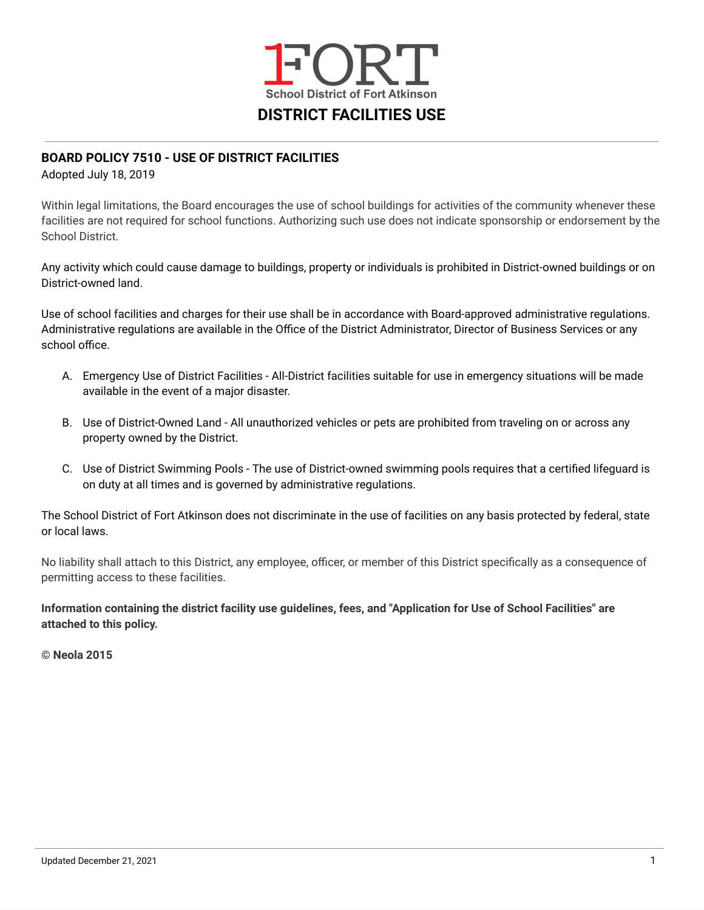

# **BOARD POLICY 7510 - USE OF DISTRICT FACILITIES**

Adopted July 18, 2019

Within legal limitations, the Board encourages the use of school buildings for activities of the community whenever these facilities are not required for school functions. Authorizing such use does not indicate sponsorship or endorsement by the School District.

Any activity which could cause damage to buildings, property or individuals is prohibited in District-owned buildings or on District-owned land.

Use of school facilities and charges for their use shall be in accordance with Board-approved administrative regulations. Administrative regulations are available in the Office of the District Administrator, Director of Business Services or any school office.

- A. Emergency Use of District Facilities All-District facilities suitable for use in emergency situations will be made available in the event of a major disaster.
- B. Use of District-Owned Land All unauthorized vehicles or pets are prohibited from traveling on or across any property owned by the District.
- C. Use of District Swimming Pools The use of District-owned swimming pools requires that a certified lifeguard is on duty at all times and is governed by administrative regulations.

The School District of Fort Atkinson does not discriminate in the use of facilities on any basis protected by federal, state or local laws.

No liability shall attach to this District, any employee, officer, or member of this District specifically as a consequence of permitting access to these facilities.

Information containing the district facility use guidelines, fees, and "Application for Use of School Facilities" are **attached to this policy.**

**© Neola 2015**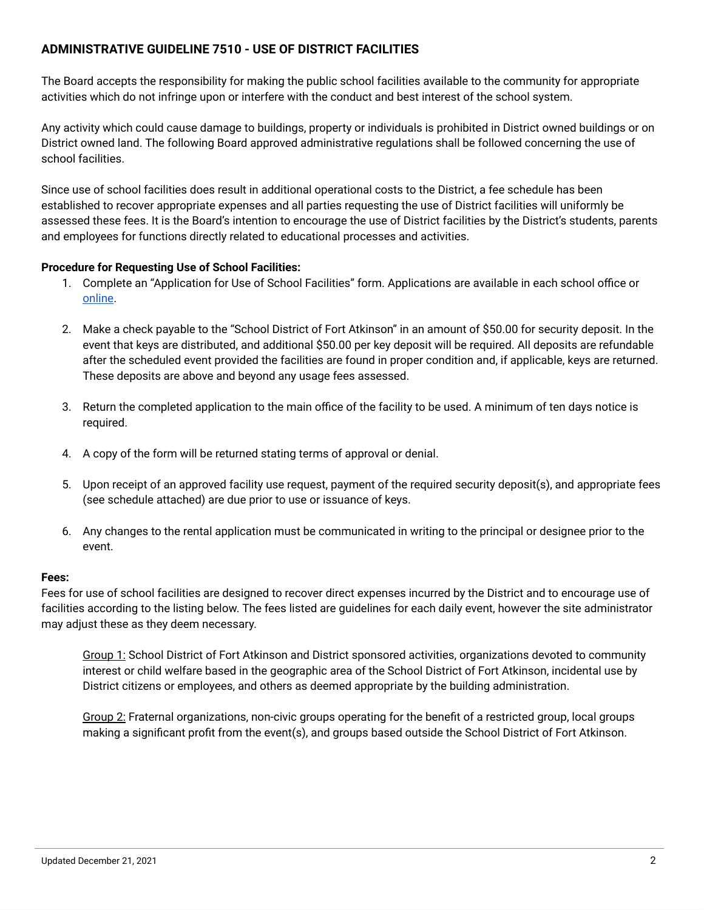# **ADMINISTRATIVE GUIDELINE 7510 - USE OF DISTRICT FACILITIES**

The Board accepts the responsibility for making the public school facilities available to the community for appropriate activities which do not infringe upon or interfere with the conduct and best interest of the school system.

Any activity which could cause damage to buildings, property or individuals is prohibited in District owned buildings or on District owned land. The following Board approved administrative regulations shall be followed concerning the use of school facilities.

Since use of school facilities does result in additional operational costs to the District, a fee schedule has been established to recover appropriate expenses and all parties requesting the use of District facilities will uniformly be assessed these fees. It is the Board's intention to encourage the use of District facilities by the District's students, parents and employees for functions directly related to educational processes and activities.

# **Procedure for Requesting Use of School Facilities:**

- 1. Complete an "Application for Use of School Facilities" form. Applications are available in each school office or [online.](https://www.fortschools.org/domain/34)
- 2. Make a check payable to the "School District of Fort Atkinson" in an amount of \$50.00 for security deposit. In the event that keys are distributed, and additional \$50.00 per key deposit will be required. All deposits are refundable after the scheduled event provided the facilities are found in proper condition and, if applicable, keys are returned. These deposits are above and beyond any usage fees assessed.
- 3. Return the completed application to the main office of the facility to be used. A minimum of ten days notice is required.
- 4. A copy of the form will be returned stating terms of approval or denial.
- 5. Upon receipt of an approved facility use request, payment of the required security deposit(s), and appropriate fees (see schedule attached) are due prior to use or issuance of keys.
- 6. Any changes to the rental application must be communicated in writing to the principal or designee prior to the event.

# **Fees:**

Fees for use of school facilities are designed to recover direct expenses incurred by the District and to encourage use of facilities according to the listing below. The fees listed are guidelines for each daily event, however the site administrator may adjust these as they deem necessary.

Group 1: School District of Fort Atkinson and District sponsored activities, organizations devoted to community interest or child welfare based in the geographic area of the School District of Fort Atkinson, incidental use by District citizens or employees, and others as deemed appropriate by the building administration.

Group 2: Fraternal organizations, non-civic groups operating for the benefit of a restricted group, local groups making a significant profit from the event(s), and groups based outside the School District of Fort Atkinson.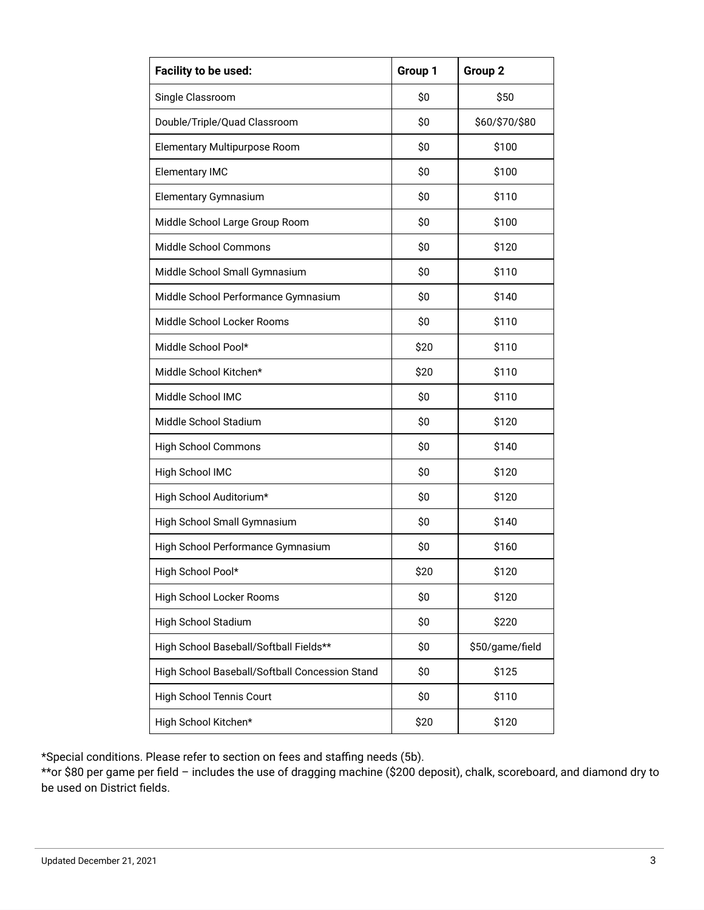| Facility to be used:                           | Group 1       | Group 2         |  |
|------------------------------------------------|---------------|-----------------|--|
| Single Classroom                               | \$0           | \$50            |  |
| Double/Triple/Quad Classroom                   | \$0           | \$60/\$70/\$80  |  |
| Elementary Multipurpose Room                   | \$0           | \$100           |  |
| <b>Elementary IMC</b>                          | \$0           | \$100           |  |
| Elementary Gymnasium                           | \$0           | \$110           |  |
| Middle School Large Group Room                 | \$0           | \$100           |  |
| Middle School Commons                          | \$0           | \$120           |  |
| Middle School Small Gymnasium                  | \$0           | \$110           |  |
| Middle School Performance Gymnasium            | \$0<br>\$140  |                 |  |
| Middle School Locker Rooms                     | \$0           | \$110           |  |
| Middle School Pool*                            | \$20          | \$110           |  |
| Middle School Kitchen*                         | \$20<br>\$110 |                 |  |
| Middle School IMC                              | \$0<br>\$110  |                 |  |
| Middle School Stadium                          | \$0<br>\$120  |                 |  |
| High School Commons                            | \$0<br>\$140  |                 |  |
| High School IMC                                | \$0           | \$120           |  |
| High School Auditorium*                        | \$0           | \$120           |  |
| High School Small Gymnasium                    | \$0           | \$140           |  |
| High School Performance Gymnasium              | \$0           | \$160           |  |
| High School Pool*                              | \$20          | \$120           |  |
| High School Locker Rooms                       | \$0           | \$120           |  |
| High School Stadium                            | \$0           | \$220           |  |
| High School Baseball/Softball Fields**         | \$0           | \$50/game/field |  |
| High School Baseball/Softball Concession Stand | \$0           | \$125           |  |
| <b>High School Tennis Court</b>                | \$0           | \$110           |  |
| High School Kitchen*                           | \$20          | \$120           |  |

\*Special conditions. Please refer to section on fees and staffing needs (5b).

\*\*or \$80 per game per field – includes the use of dragging machine (\$200 deposit), chalk, scoreboard, and diamond dry to be used on District fields.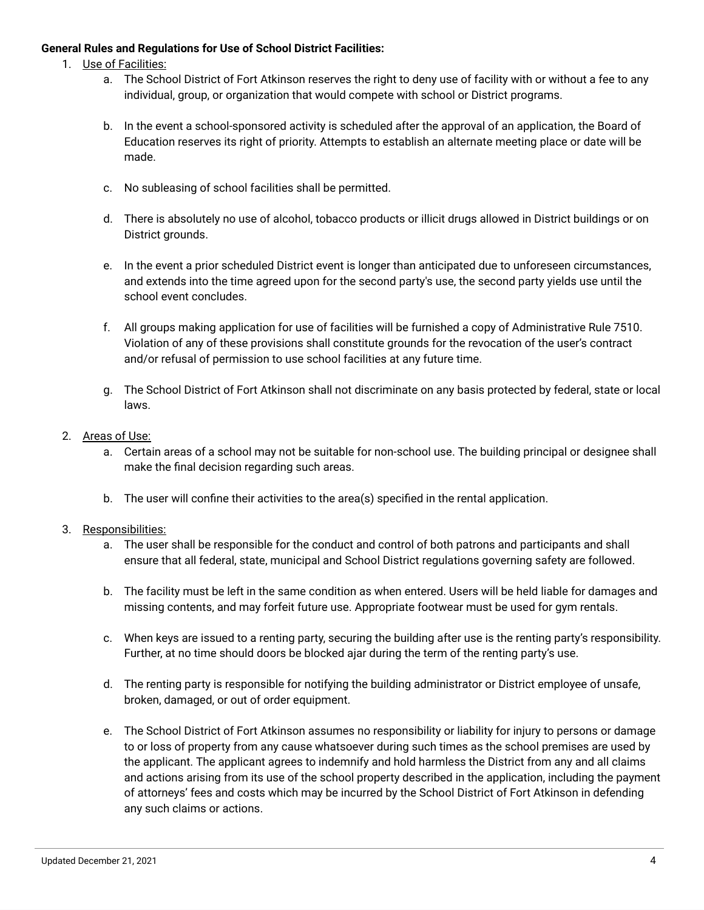# **General Rules and Regulations for Use of School District Facilities:**

- 1. Use of Facilities:
	- a. The School District of Fort Atkinson reserves the right to deny use of facility with or without a fee to any individual, group, or organization that would compete with school or District programs.
	- b. In the event a school-sponsored activity is scheduled after the approval of an application, the Board of Education reserves its right of priority. Attempts to establish an alternate meeting place or date will be made.
	- c. No subleasing of school facilities shall be permitted.
	- d. There is absolutely no use of alcohol, tobacco products or illicit drugs allowed in District buildings or on District grounds.
	- e. In the event a prior scheduled District event is longer than anticipated due to unforeseen circumstances, and extends into the time agreed upon for the second party's use, the second party yields use until the school event concludes.
	- f. All groups making application for use of facilities will be furnished a copy of Administrative Rule 7510. Violation of any of these provisions shall constitute grounds for the revocation of the user's contract and/or refusal of permission to use school facilities at any future time.
	- g. The School District of Fort Atkinson shall not discriminate on any basis protected by federal, state or local laws.
- 2. Areas of Use:
	- a. Certain areas of a school may not be suitable for non-school use. The building principal or designee shall make the final decision regarding such areas.
	- b. The user will confine their activities to the area(s) specified in the rental application.

# 3. Responsibilities:

- a. The user shall be responsible for the conduct and control of both patrons and participants and shall ensure that all federal, state, municipal and School District regulations governing safety are followed.
- b. The facility must be left in the same condition as when entered. Users will be held liable for damages and missing contents, and may forfeit future use. Appropriate footwear must be used for gym rentals.
- c. When keys are issued to a renting party, securing the building after use is the renting party's responsibility. Further, at no time should doors be blocked ajar during the term of the renting party's use.
- d. The renting party is responsible for notifying the building administrator or District employee of unsafe, broken, damaged, or out of order equipment.
- e. The School District of Fort Atkinson assumes no responsibility or liability for injury to persons or damage to or loss of property from any cause whatsoever during such times as the school premises are used by the applicant. The applicant agrees to indemnify and hold harmless the District from any and all claims and actions arising from its use of the school property described in the application, including the payment of attorneys' fees and costs which may be incurred by the School District of Fort Atkinson in defending any such claims or actions.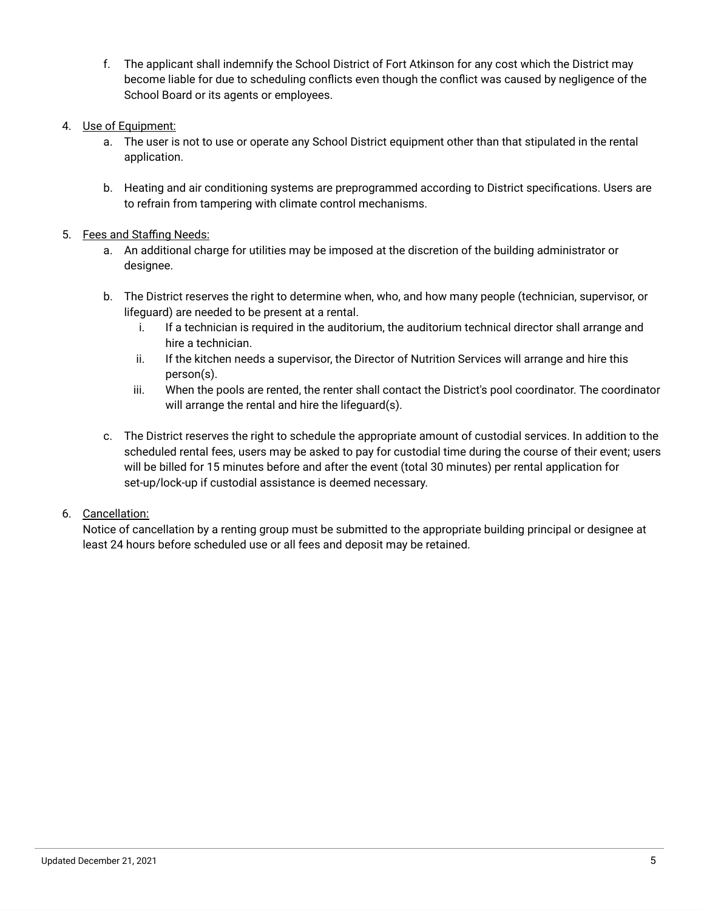- f. The applicant shall indemnify the School District of Fort Atkinson for any cost which the District may become liable for due to scheduling conflicts even though the conflict was caused by negligence of the School Board or its agents or employees.
- 4. Use of Equipment:
	- a. The user is not to use or operate any School District equipment other than that stipulated in the rental application.
	- b. Heating and air conditioning systems are preprogrammed according to District specifications. Users are to refrain from tampering with climate control mechanisms.

# 5. Fees and Staffing Needs:

- a. An additional charge for utilities may be imposed at the discretion of the building administrator or designee.
- b. The District reserves the right to determine when, who, and how many people (technician, supervisor, or lifeguard) are needed to be present at a rental.
	- i. If a technician is required in the auditorium, the auditorium technical director shall arrange and hire a technician.
	- ii. If the kitchen needs a supervisor, the Director of Nutrition Services will arrange and hire this person(s).
	- iii. When the pools are rented, the renter shall contact the District's pool coordinator. The coordinator will arrange the rental and hire the lifeguard(s).
- c. The District reserves the right to schedule the appropriate amount of custodial services. In addition to the scheduled rental fees, users may be asked to pay for custodial time during the course of their event; users will be billed for 15 minutes before and after the event (total 30 minutes) per rental application for set-up/lock-up if custodial assistance is deemed necessary.

# 6. Cancellation:

Notice of cancellation by a renting group must be submitted to the appropriate building principal or designee at least 24 hours before scheduled use or all fees and deposit may be retained.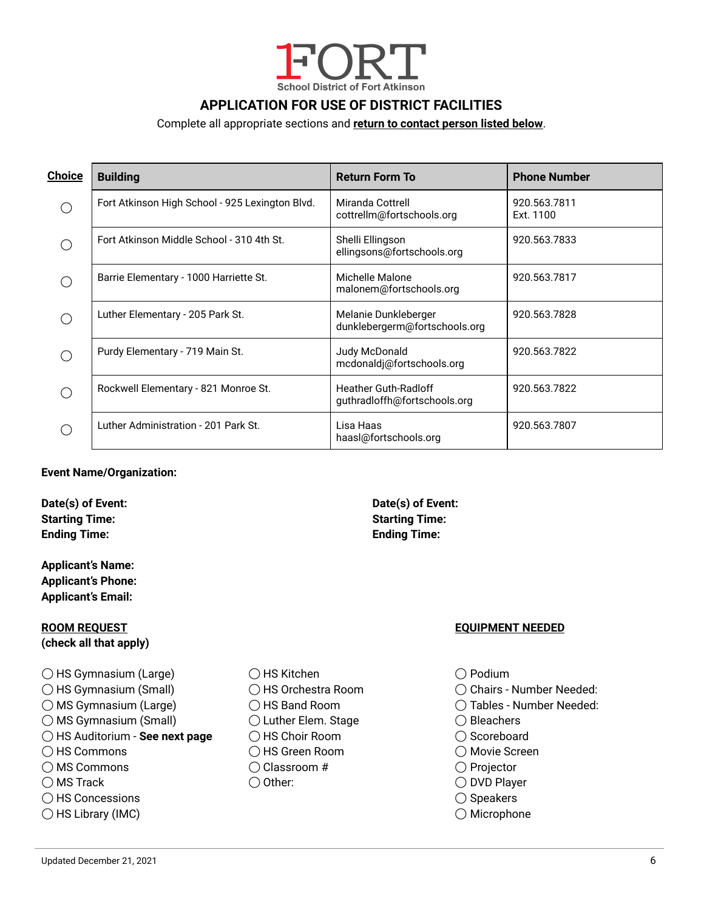

# **APPLICATION FOR USE OF DISTRICT FACILITIES**

### Complete all appropriate sections and **return to contact person listed below**.

| <b>Choice</b> | <b>Building</b><br><b>Return Form To</b>        |                                                             | <b>Phone Number</b>       |
|---------------|-------------------------------------------------|-------------------------------------------------------------|---------------------------|
| ◯             | Fort Atkinson High School - 925 Lexington Blvd. | Miranda Cottrell<br>cottrellm@fortschools.org               | 920.563.7811<br>Ext. 1100 |
|               | Fort Atkinson Middle School - 310 4th St.       | Shelli Ellingson<br>ellingsons@fortschools.org              | 920.563.7833              |
| ⌒             | Barrie Elementary - 1000 Harriette St.          | Michelle Malone<br>malonem@fortschools.org                  | 920.563.7817              |
| ◯             | Luther Elementary - 205 Park St.                | Melanie Dunkleberger<br>dunklebergerm@fortschools.org       | 920.563.7828              |
|               | Purdy Elementary - 719 Main St.                 | Judy McDonald<br>mcdonaldj@fortschools.org                  | 920.563.7822              |
| ⌒             | Rockwell Elementary - 821 Monroe St.            | <b>Heather Guth-Radloff</b><br>guthradloffh@fortschools.org | 920.563.7822              |
|               | Luther Administration - 201 Park St.            | Lisa Haas<br>haasl@fortschools.org                          | 920.563.7807              |

#### **Event Name/Organization:**

**Date(s) of Event: Date(s) of Event: Starting Time: Starting Time: Ending Time: Ending Time:**

**Applicant's Name: Applicant's Phone: Applicant's Email:**

# **ROOM REQUEST EQUIPMENT NEEDED (check all that apply)**

- ◯ HS Gymnasium (Large) ◯ HS Kitchen ◯ Podium ◯ HS Gymnasium (Small) ◯ HS Orchestra Room ◯ Chairs - Number Needed: ◯ MS Gymnasium (Large)  $\bigcirc$  HS Band Room  $\bigcirc$  Tables - Number Needed: ◯ MS Gymnasium (Small)  $\bigcirc$  Luther Elem. Stage  $\bigcirc$  Bleachers ◯ HS Auditorium - **See next page** ◯ HS Choir Room ◯ Scoreboard ◯ HS Commons ◯ HS Green Room ◯ Movie Screen ◯ MS Commons ◯ Classroom # ◯ Projector ◯ MS Track ◯ Other: ◯ DVD Player ◯ HS Concessions ◯ Speakers ◯ HS Library (IMC) ◯ Microphone
	-